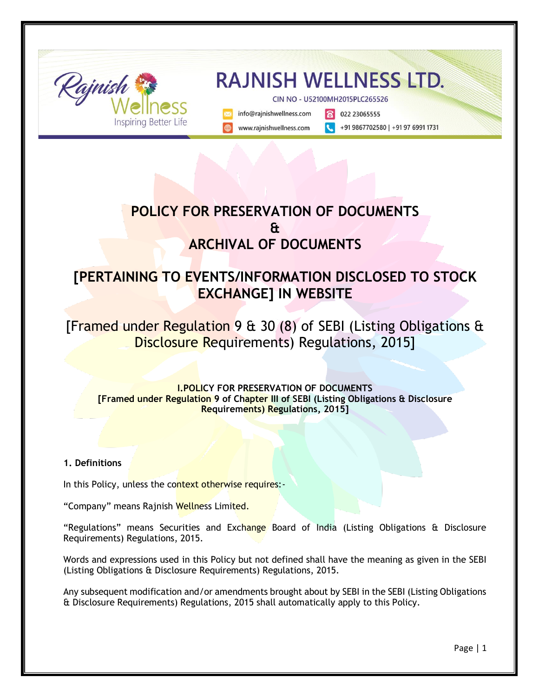

# **POLICY FOR PRESERVATION OF DOCUMENTS & ARCHIVAL OF DOCUMENTS**

# **[PERTAINING TO EVENTS/INFORMATION DISCLOSED TO STOCK EXCHANGE] IN WEBSITE**

[Framed under Regulation 9 & 30 (8) of SEBI (Listing Obligations & Disclosure Requirements) Regulations, 2015]

### **I.POLICY FOR PRESERVATION OF DOCUMENTS [Framed under Regulation 9 of Chapter III of SEBI (Listing Obligations & Disclosure Requirements) Regulations, 2015]**

## **1. Definitions**

In this Policy, unless the context otherwise requires:-

"Company" means Rajnish Wellness Limited.

"Regulations" means Securities and Exchange Board of India (Listing Obligations & Disclosure Requirements) Regulations, 2015.

Words and expressions used in this Policy but not defined shall have the meaning as given in the SEBI (Listing Obligations & Disclosure Requirements) Regulations, 2015.

Any subsequent modification and/or amendments brought about by SEBI in the SEBI (Listing Obligations & Disclosure Requirements) Regulations, 2015 shall automatically apply to this Policy.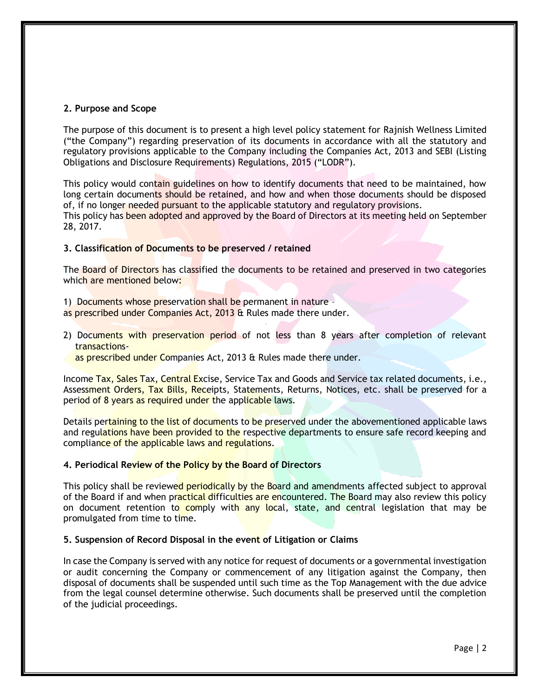#### **2. Purpose and Scope**

The purpose of this document is to present a high level policy statement for Rajnish Wellness Limited ("the Company") regarding preservation of its documents in accordance with all the statutory and regulatory provisions applicable to the Company including the Companies Act, 2013 and SEBI (Listing Obligations and Disclosure Requirements) Regulations, 2015 ("LODR").

This policy would contain guidelines on how to identify documents that need to be maintained, how long certain documents should be retained, and how and when those documents should be disposed of, if no longer needed pursuant to the applicable statutory and regulatory provisions. This policy has been adopted and approved by the Board of Directors at its meeting held on September 28, 2017.

#### **3. Classification of Documents to be preserved / retained**

The Board of Directors has classified the documents to be retained and preserved in two categories which are mentioned below:

- 1) Documents whose preservation shall be permanent in nature –
- as prescribed under Companies Act, 2013 & Rules made there under.
- 2) Documents with preservation period of not less than 8 years after completion of relevant transactions
	- as prescribed under Companies Act, 2013 & Rules made there under.

Income Tax, Sales Tax, Central Excise, Service Tax and Goods and Service tax related documents, i.e., Assessment Orders, Tax Bills, Receipts, Statements, Returns, Notices, etc. shall be preserved for a period of 8 years as required under the applicable laws.

Details pertaining to the list of documents to be preserved under the abovementioned applicable laws and regulations have been provided to the respective departments to ensure safe record keeping and compliance of the applicable laws and regulations.

#### **4. Periodical Review of the Policy by the Board of Directors**

This policy shall be reviewed periodically by the Board and amendments affected subject to approval of the Board if and when practical difficulties are encountered. The Board may also review this policy on document retention to comply with any local, state, and central legislation that may be promulgated from time to time.

#### **5. Suspension of Record Disposal in the event of Litigation or Claims**

In case the Company is served with any notice for request of documents or a governmental investigation or audit concerning the Company or commencement of any litigation against the Company, then disposal of documents shall be suspended until such time as the Top Management with the due advice from the legal counsel determine otherwise. Such documents shall be preserved until the completion of the judicial proceedings.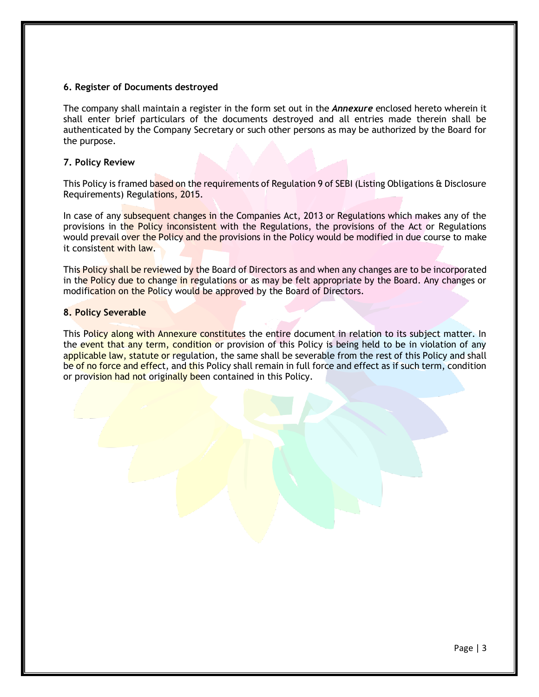#### **6. Register of Documents destroyed**

The company shall maintain a register in the form set out in the *Annexure* enclosed hereto wherein it shall enter brief particulars of the documents destroyed and all entries made therein shall be authenticated by the Company Secretary or such other persons as may be authorized by the Board for the purpose.

#### **7. Policy Review**

This Policy is framed based on the requirements of Regulation 9 of SEBI (Listing Obligations & Disclosure Requirements) Regulations, 2015.

In case of any subsequent changes in the Companies Act, 2013 or Regulations which makes any of the provisions in the Policy inconsistent with the Regulations, the provisions of the Act or Regulations would prevail over the Policy and the provisions in the Policy would be modified in due course to make it consistent with law.

This Policy shall be reviewed by the Board of Directors as and when any changes are to be incorporated in the Policy due to change in regulations or as may be felt appropriate by the Board. Any changes or modification on the Policy would be approved by the Board of Directors.

#### **8. Policy Severable**

This Policy along with Annexure constitutes the entire document in relation to its subject matter. In the event that any term, condition or provision of this Policy is being held to be in violation of any applicable law, statute or regulation, the same shall be severable from the rest of this Policy and shall be of no force and effect, and this Policy shall remain in full force and effect as if such term, condition or provision had not originally been contained in this Policy.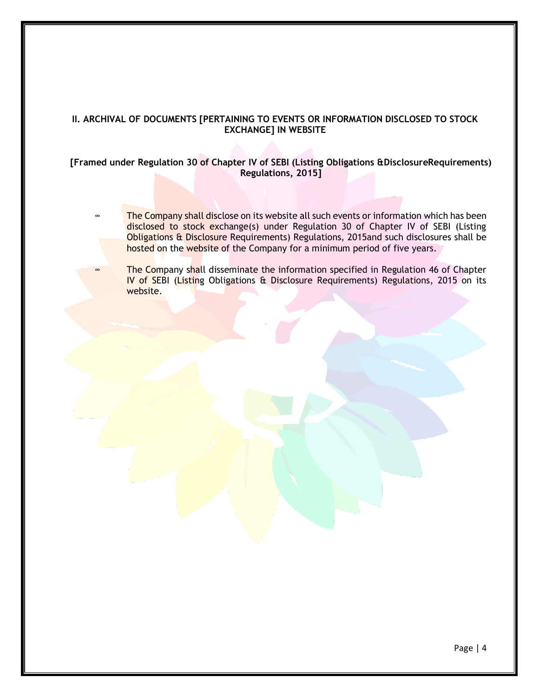### **II. ARCHIVAL OF DOCUMENTS [PERTAINING TO EVENTS OR INFORMATION DISCLOSED TO STOCK EXCHANGE] IN WEBSITE**

#### **[Framed under Regulation 30 of Chapter IV of SEBI (Listing Obligations &DisclosureRequirements) Regulations, 2015]**

- The Company shall disclose on its website all such events or information which has been disclosed to stock exchange(s) under Regulation 30 of Chapter IV of SEBI (Listing Obligations & Disclosure Requirements) Regulations, 2015and such disclosures shall be hosted on the website of the Company for a minimum period of five years.
	- The Company shall disseminate the information specified in Regulation 46 of Chapter IV of SEBI (Listing Obligations & Disclosure Requirements) Regulations, 2015 on its website.